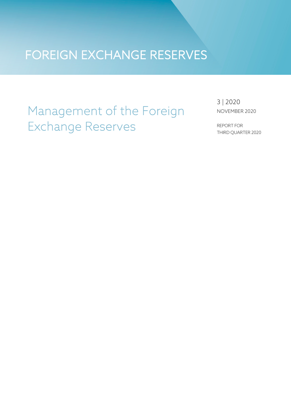### FOREIGN EXCHANGE RESERVES

### Management of the Foreign Exchange Reserves

3 | 2020 NOVEMBER 2020

REPORT FOR THIRD QUARTER 2020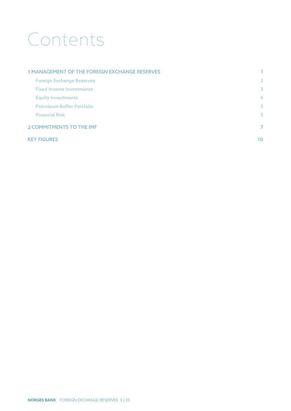# Contents

| <b>1 MANAGEMENT OF THE FOREIGN EXCHANGE RESERVES</b> | 1.             |
|------------------------------------------------------|----------------|
| <b>Foreign Exchange Reserves</b>                     | $\overline{2}$ |
| <b>Fixed Income Investments</b>                      | 3              |
| <b>Equity Investments</b>                            | $\overline{4}$ |
| <b>Petroleum Buffer Portfolio</b>                    | 5              |
| <b>Financial Risk</b>                                | 5              |
| <b>2 COMMITMENTS TO THE IMF</b>                      | 7              |
| <b>KEY FIGURES</b>                                   | 10             |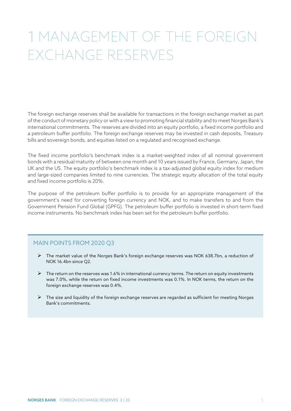### <span id="page-2-0"></span>MANAGEMENT OF THE FOREIGN EXCHANGE RESERVES

The foreign exchange reserves shall be available for transactions in the foreign exchange market as part of the conduct of monetary policy or with a view to promoting financial stability and to meet Norges Bank's international commitments. The reserves are divided into an equity portfolio, a fixed income portfolio and a petroleum buffer portfolio. The foreign exchange reserves may be invested in cash deposits, Treasury bills and sovereign bonds, and equities listed on a regulated and recognised exchange.

The fixed income portfolio's benchmark index is a market-weighted index of all nominal government bonds with a residual maturity of between one month and 10 years issued by France, Germany, Japan, the UK and the US. The equity portfolio's benchmark index is a tax-adjusted global equity index for medium and large-sized companies limited to nine currencies. The strategic equity allocation of the total equity and fixed income portfolio is 20%.

The purpose of the petroleum buffer portfolio is to provide for an appropriate management of the government's need for converting foreign currency and NOK, and to make transfers to and from the Government Pension Fund Global (GPFG). The petroleum buffer portfolio is invested in short-term fixed income instruments. No benchmark index has been set for the petroleum buffer portfolio.

#### MAIN POINTS FROM 2020 Q3

- The market value of the Norges Bank's foreign exchange reserves was NOK 638.7bn, a reduction of NOK 16.4bn since Q2.
- $\triangleright$  The return on the reserves was 1.6% in international currency terms. The return on equity investments was 7.0%, while the return on fixed income investments was 0.1%. In NOK terms, the return on the foreign exchange reserves was 0.4%.
- $\triangleright$  The size and liquidity of the foreign exchange reserves are regarded as sufficient for meeting Norges Bank's commitments.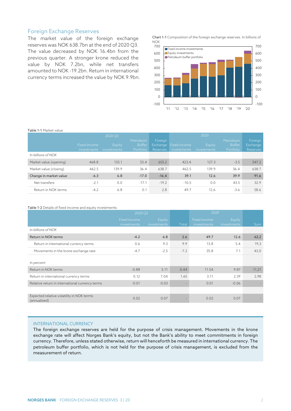#### <span id="page-3-0"></span>Foreign Exchange Reserves

The market value of the foreign exchange reserves was NOK 638.7bn at the end of 2020 Q3. The value decreased by NOK 16.4bn from the previous quarter. A stronger krone reduced the value by NOK 7.2bn, while net transfers amounted to NOK -19.2bn. Return in international currency terms increased the value by NOK 9.9bn. Chart 1-1 Composition of the foreign exchange reserves. In billions of NOK



| Table 1-1 Market value |                             |                       |                                  |                                 |                             |                       |                                         |                                        |
|------------------------|-----------------------------|-----------------------|----------------------------------|---------------------------------|-----------------------------|-----------------------|-----------------------------------------|----------------------------------------|
|                        |                             | 2020 Q3               |                                  |                                 |                             | 2020                  |                                         |                                        |
|                        | Fixed income<br>investments | Equity<br>investments | Petroleum<br>Buffer<br>Portfolio | Foreign<br>Exchange<br>Reserves | Fixed income<br>investments | Equity<br>investments | Petroleum<br><b>Buffer</b><br>Portfolio | Foreign<br>Exchange<br><b>Reserves</b> |
| In billions of NOK     |                             |                       |                                  |                                 |                             |                       |                                         |                                        |
| Market value (opening) | 468.8                       | 133.1                 | 53.4                             | 655.2                           | 423.4                       | 127.3                 | $-3.5$                                  | 547.2                                  |
| Market value (closing) | 462.5                       | 139.9                 | 36.4                             | 638.7                           | 462.5                       | 139.9                 | 36.4                                    | 638.7                                  |
| Change in market value | $-6.3$                      | 6.8                   | $-17.0$                          | $-16.4$                         | 39.1                        | 12.6                  | 39.9                                    | 91.6                                   |
| Net transfers          | $-2.1$                      | 0.0                   | $-17.1$                          | $-19.2$                         | $-10.5$                     | 0.0                   | 43.5                                    | 32.9                                   |
| Return in NOK terms    | $-4.2$                      | 6.8                   | 0.1                              | 2.8                             | 49.7                        | 12.6                  | $-3.6$                                  | 58.6                                   |

#### Table 1-2 Details of fixed income and equity investments

|                                                           | 2020 Q3                     |                       |        | 2020                        |                       |            |
|-----------------------------------------------------------|-----------------------------|-----------------------|--------|-----------------------------|-----------------------|------------|
|                                                           | Fixed income<br>investments | Equity<br>investments | Total  | Fixed income<br>investments | Equity<br>investments | <b>Sum</b> |
| In billions of NOK                                        |                             |                       |        |                             |                       |            |
| Return in NOK terms                                       | $-4.2$                      | 6.8                   | 2.6    | 49.7                        | 12.6                  | 62,2       |
| Return in international currency terms                    | 0.6                         | 9.3                   | 9.9    | 13.8                        | 5.4                   | 19,3       |
| Movements in the krone exchange rate                      | $-4.7$                      | $-2.5$                | $-7.2$ | 35.8                        | 7.1                   | 43,0       |
| In percent                                                |                             |                       |        |                             |                       |            |
| Return in NOK terms                                       | $-0.88$                     | 5.11                  | 0.44   | 11.54                       | 9.87                  | 11,21      |
| Return in international currency terms                    | 0.12                        | 7.04                  | 1.65   | 3.11                        | 2.39                  | 2,98       |
| Relative return in international currency terms           | $-0.01$                     | $-0.03$               |        | 0.01                        | $-0.06$               |            |
|                                                           |                             |                       |        |                             |                       |            |
| Expected relative volatility in NOK terms<br>(annualised) | 0.02                        | 0.07                  |        | 0.02                        | 0.07                  |            |

#### INTERNATIONAL CURRENCY

The foreign exchange reserves are held for the purpose of crisis management. Movements in the krone exchange rate will affect Norges Bank's equity, but not the Bank's ability to meet commitments in foreign currency. Therefore, unless stated otherwise, return will henceforth be measured in international currency. The petroleum buffer portfolio, which is not held for the purpose of crisis management, is excluded from the measurement of return.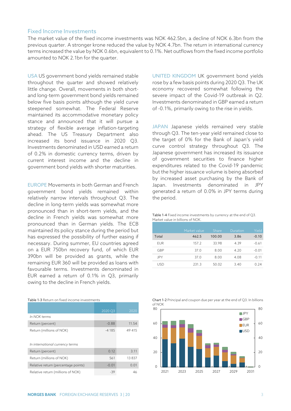#### <span id="page-4-0"></span>Fixed Income Investments

The market value of the fixed income investments was NOK 462.5bn, a decline of NOK 6.3bn from the previous quarter. A stronger krone reduced the value by NOK 4.7bn. The return in international currency terms increased the value by NOK 0.6bn, equivalent to 0.1%. Net outflows from the fixed income portfolio amounted to NOK 2.1bn for the quarter.

USA US government bond yields remained stable throughout the quarter and showed relatively little change. Overall, movements in both shortand long-term government bond yields remained below five basis points although the yield curve steepened somewhat. The Federal Reserve maintained its accommodative monetary policy stance and announced that it will pursue a strategy of flexible average inflation-targeting ahead. The US Treasury Department also increased its bond issuance in 2020 Q3. Investments denominated in USD earned a return of 0.2% in domestic currency terms, driven by current interest income and the decline in government bond yields with shorter maturities.

EUROPE Movements in both German and French government bond yields remained within relatively narrow intervals throughout Q3. The decline in long-term yields was somewhat more pronounced than in short-term yields, and the decline in French yields was somewhat more pronounced than in German yields. The ECB maintained its policy stance during the period but has expressed the possibility of further easing if necessary. During summer, EU countries agreed on a EUR 750bn recovery fund, of which EUR 390bn will be provided as grants, while the remaining EUR 360 will be provided as loans with favourable terms. Investments denominated in EUR earned a return of 0.1% in Q3, primarily owing to the decline in French yields.

| In NOK terms                                                | 2020 Q3 | 2020   |
|-------------------------------------------------------------|---------|--------|
| Return (percent)                                            | $-0.88$ | 11.54  |
| Return (millions of NOK)<br>In international currency terms | $-4185$ | 49 415 |
| Return (percent)                                            | 0.12    | 3.11   |
| Return (millions of NOK)                                    | 561     | 13837  |
| Relative return (percentage points)                         | $-0.01$ | 0.01   |
| Relative return (millions of NOK)                           | -39     |        |

Table 1-3 Return on fixed income investments

UNITED KINGDOM UK government bond yields rose by a few basis points during 2020 Q3. The UK economy recovered somewhat following the severe impact of the Covid-19 outbreak in Q2. Investments denominated in GBP earned a return of -0.1%, primarily owing to the rise in yields.

JAPAN Japanese yields remained very stable through Q3. The ten-year yield remained close to the target of 0% for the Bank of Japan's yield curve control strategy throughout Q3. The Japanese government has increased its issuance of government securities to finance higher expenditures related to the Covid-19 pandemic but the higher issuance volume is being absorbed by increased asset purchasing by the Bank of Japan. Investments denominated in JPY generated a return of 0.0% in JPY terms during the period.

Table 1-4 Fixed income investments by currency at the end of Q3. Market value in billions of NOK.

|            | Market value | Share  | Duration | Yield   |
|------------|--------------|--------|----------|---------|
| Total      | 462.5        | 100.00 | 3.86     | $-0.10$ |
| <b>FUR</b> | 157.2        | 33.98  | 4.39     | $-0.61$ |
| GBP        | 37.0         | 8.00   | 4.20     | $-0.01$ |
| JPY        | 37.0         | 8.00   | 4.08     | $-0.11$ |
| USD        | 231.3        | 50.02  | 3.40     | 0.24    |

|        | Chart 1-2 Principal and coupon due per year at the end of Q3. In billions |
|--------|---------------------------------------------------------------------------|
| of NOK |                                                                           |

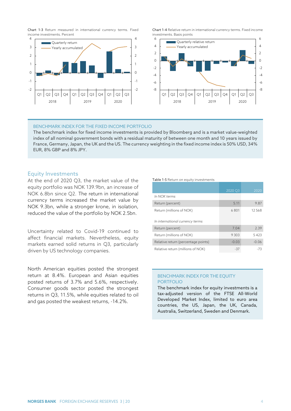Chart 1-3 Return measured in international currency terms. Fixed income investments. Percent



Chart 1-4 Relative return in international currency terms. Fixed income investments. Basis points



#### BENCHMARK INDEX FOR THE FIXED INCOME PORTFOLIO

The benchmark index for fixed income investments is provided by Bloomberg and is a market value-weighted index of all nominal government bonds with a residual maturity of between one month and 10 years issued by France, Germany, Japan, the UK and the US. The currency weighting in the fixed income index is 50% USD, 34% EUR, 8% GBP and 8% JPY.

#### <span id="page-5-0"></span>Equity Investments

At the end of 2020 Q3, the market value of the equity portfolio was NOK 139.9bn, an increase of NOK 6.8bn since Q2. The return in international currency terms increased the market value by NOK 9.3bn, while a stronger krone, in isolation, reduced the value of the portfolio by NOK 2.5bn.

Uncertainty related to Covid-19 continued to affect financial markets. Nevertheless, equity markets earned solid returns in Q3, particularly driven by US technology companies.

North American equities posted the strongest return at 8.4%. European and Asian equities posted returns of 3.7% and 5.6%, respectively. Consumer goods sector posted the strongest returns in Q3, 11.5%, while equities related to oil and gas posted the weakest returns, -14.2%.

#### Table 1-5 Return on equity investments

|                                     | 2020 Q3 | 2020    |
|-------------------------------------|---------|---------|
| In NOK terms                        |         |         |
| Return (percent)                    | 5.11    | 9.87    |
| Return (millions of NOK)            | 6801    | 12.568  |
| In international currency terms     |         |         |
| Return (percent)                    | 7.04    | 2.39    |
| Return (millions of NOK)            | 9303    | 5423    |
| Relative return (percentage points) | $-0.03$ | $-0.06$ |
| Relative return (millions of NOK)   | -37     | -73     |

#### BENCHMARK INDEX FOR THE EQUITY PORTFOLIO

The benchmark index for equity investments is a tax-adjusted version of the FTSE All-World Developed Market Index, limited to euro area countries, the US, Japan, the UK, Canada, Australia, Switzerland, Sweden and Denmark.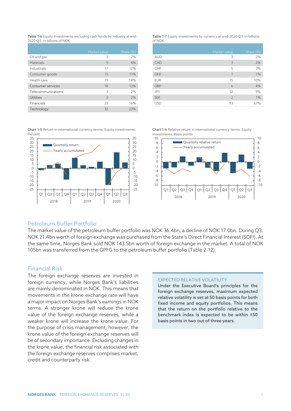Table 1-6 Equity investments excluding cash funds by industry at end-2020 Q3. In billions of NOK

|                    | Market value | Share (%) |
|--------------------|--------------|-----------|
| Oil and gas        | 3            | 2%        |
| Materials          | 5            | 4%        |
| Industrials        | 17           | 12%       |
| Consumer goods     | 15           | 11%       |
| Health care        | 19           | 14%       |
| Consumer services  | 18           | 13%       |
| Telecommunications | 3            | 2%        |
| Utilities          | 3            | 2%        |
| Financials         | 23           | 16%       |
| Technology         | 32           | 23%       |

Table 1-7 Equity investments by currency at end-2020 Q3. In billions of NOK

|            | Market value   | Share (%) |
|------------|----------------|-----------|
| <b>AUD</b> | 3              | 2%        |
| CAD        | 3              | 2%        |
| CHF        | 5              | 3%        |
| <b>DKK</b> | 1              | 1%        |
| <b>EUR</b> | 15             | 10%       |
| <b>GBP</b> | 6              | 4%        |
| JPY        | 12             | 9%        |
| <b>SEK</b> | $\overline{2}$ | 1%        |
| <b>USD</b> | 93             | 67%       |
|            |                |           |

Chart 1-5 Return in international currency terms. Equity investments. Percent



Chart 1-6 Relative return in international currency terms. Equity investments. Basis points



#### <span id="page-6-0"></span>Petroleum Buffer Portfolio

The market value of the petroleum buffer portfolio was NOK 36.4bn, a decline of NOK 17.0bn. During Q3, NOK 21.4bn worth of foreign exchange was purchased from the State's Direct Financial Interest (SDFI). At the same time, Norges Bank sold NOK 143.5bn worth of foreign exchange in the market. A total of NOK 105bn was transferred from the GPFG to the petroleum buffer portfolio (Table 2-12).

#### <span id="page-6-1"></span>Financial Risk

The foreign exchange reserves are invested in foreign currency, while Norges Bank's liabilities are mainly denominated in NOK. This means that movements in the krone exchange rate will have a major impact on Norges Bank's earnings in NOK terms. A stronger krone will reduce the krone value of the foreign exchange reserves, while a weaker krone will increase the krone value. For the purpose of crisis management, however, the krone value of the foreign exchange reserves will be of secondary importance. Excluding changes in the krone value, the financial risk associated with the foreign exchange reserves comprises market, credit and counterparty risk.

#### EXPECTED RELATIVE VOLATILITY

Under the Executive Board's principles for the foreign exchange reserves, maximum expected relative volatility is set at 50 basis points for both fixed income and equity portfolios. This means that the return on the portfolio relative to the benchmark index is expected to be within ±50 basis points in two out of three years.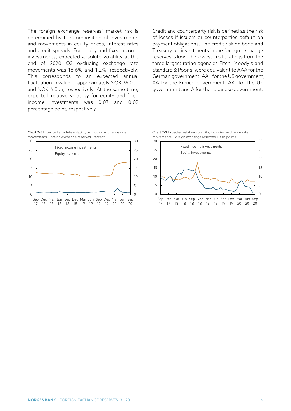The foreign exchange reserves' market risk is determined by the composition of investments and movements in equity prices, interest rates and credit spreads. For equity and fixed income investments, expected absolute volatility at the end of 2020 Q3 excluding exchange rate movements was 18,6% and 1,2%, respectively. This corresponds to an expected annual fluctuation in value of approximately NOK 26.0bn and NOK 6.0bn, respectively. At the same time, expected relative volatility for equity and fixed income investments was 0.07 and 0.02 percentage point, respectively.

Credit and counterparty risk is defined as the risk of losses if issuers or counterparties default on payment obligations. The credit risk on bond and Treasury bill investments in the foreign exchange reserves is low. The lowest credit ratings from the three largest rating agencies Fitch, Moody's and Standard & Poor's, were equivalent to AAA for the German government, AA+ for the US government, AA for the French government, AA- for the UK government and A for the Japanese government.



Chart 2-8 Expected absolute volatility, excluding exchange rate movements. Foreign exchange reserves. Percent

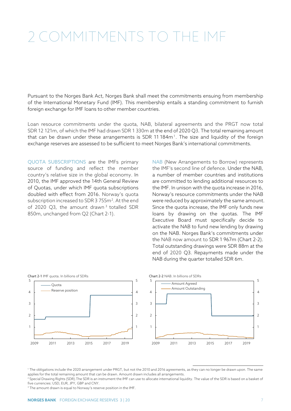# <span id="page-8-0"></span>COMMITMENTS TO THE IMF

Pursuant to the Norges Bank Act, Norges Bank shall meet the commitments ensuing from membership of the International Monetary Fund (IMF). This membership entails a standing commitment to furnish foreign exchange for IMF loans to other member countries.

Loan resource commitments under the quota, NAB, bilateral agreements and the PRGT now total SDR 12 121m, of which the IMF had drawn SDR 1 330m at the end of 2020 Q3. The total remaining amount that can be drawn under these arrangements is SDR [1](#page-8-1)1 184m<sup>1</sup>. The size and liquidity of the foreign exchange reserves are assessed to be sufficient to meet Norges Bank's international commitments.

QUOTA SUBSCRIPTIONS are the IMFs primary source of funding and reflect the member country's relative size in the global economy. In 2010, the IMF approved the 14th General Review of Quotas, under which IMF quota subscriptions doubled with effect from 2016. Norway's quota subscription increased to SDR 3 755m<sup>[2](#page-8-2)</sup>. At the end of 2020 Q[3](#page-8-3), the amount drawn<sup>3</sup> totalled SDR 850m, unchanged from Q2 (Chart 2-1).

NAB (New Arrangements to Borrow) represents the IMF's second line of defence. Under the NAB, a number of member countries and institutions are committed to lending additional resources to the IMF. In unison with the quota increase in 2016, Norway's resource commitments under the NAB were reduced by approximately the same amount. Since the quota increase, the IMF only funds new loans by drawing on the quotas. The IMF Executive Board must specifically decide to activate the NAB to fund new lending by drawing on the NAB. Norges Bank's commitments under the NAB now amount to SDR 1 967m (Chart 2-2). Total outstanding drawings were SDR 88m at the end of 2020 Q3. Repayments made under the NAB during the quarter totalled SDR 6m.





<span id="page-8-1"></span> 1 The obligations include the 2020 arrangement under PRGT, but not the 2010 and 2016 agreements, as they can no longer be drawn upon. The same applies for the total remaining amount that can be drawn. Amount drawn includes all arrangements.

<span id="page-8-2"></span><sup>2</sup> Special Drawing Rights (SDR). The SDR is an instrument the IMF can use to allocate international liquidity. The value of the SDR is based on a basket of five currencies: USD, EUR, JPY, GBP and CNY.

<span id="page-8-3"></span><sup>3</sup> The amount drawn is equal to Norway's reserve position in the IMF.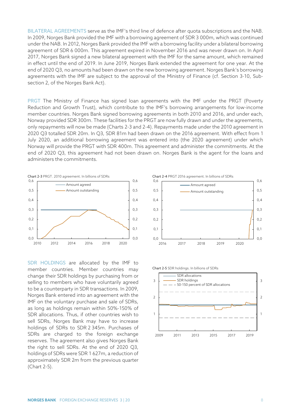BILATERAL AGREEMENTS serve as the IMF's third line of defence after quota subscriptions and the NAB. In 2009, Norges Bank provided the IMF with a borrowing agreement of SDR 3 000m, which was continued under the NAB. In 2012, Norges Bank provided the IMF with a borrowing facility under a bilateral borrowing agreement of SDR 6 000m. This agreement expired in November 2016 and was never drawn on. In April 2017, Norges Bank signed a new bilateral agreement with the IMF for the same amount, which remained in effect until the end of 2019. In June 2019, Norges Bank extended the agreement for one year. At the end of 2020 Q3, no amounts had been drawn on the new borrowing agreement. Norges Bank's borrowing agreements with the IMF are subject to the approval of the Ministry of Finance (cf. Section 3-10, Subsection 2, of the Norges Bank Act).

PRGT The Ministry of Finance has signed loan agreements with the IMF under the PRGT (Poverty Reduction and Growth Trust), which contribute to the IMF's borrowing arrangements for low-income member countries. Norges Bank signed borrowing agreements in both 2010 and 2016, and under each, Norway provided SDR 300m. These facilities for the PRGT are now fully drawn and under the agreements, only repayments will now be made (Charts 2-3 and 2-4). Repayments made under the 2010 agreement in 2020 Q3 totalled SDR 20m. In Q3, SDR 81m had been drawn on the 2016 agreement. With effect from 1 July 2020, an additional borrowing agreement was entered into (the 2020 agreement) under which Norway will provide the PRGT with SDR 400m. This agreement and administer the commitments. At the end of 2020 Q3, this agreement had not been drawn on. Norges Bank is the agent for the loans and administers the commitments.



SDR HOLDINGS are allocated by the IMF to member countries. Member countries may change their SDR holdings by purchasing from or selling to members who have voluntarily agreed to be a counterparty in SDR transactions. In 2009, Norges Bank entered into an agreement with the IMF on the voluntary purchase and sale of SDRs, as long as holdings remain within 50%-150% of SDR allocations. Thus, if other countries wish to sell SDRs, Norges Bank may have to increase holdings of SDRs to SDR 2 345m. Purchases of SDRs are charged to the foreign exchange reserves. The agreement also gives Norges Bank the right to sell SDRs. At the end of 2020 Q3, holdings of SDRs were SDR 1 627m, a reduction of approximately SDR 2m from the previous quarter (Chart 2-5).



Chart 2-5 SDR holdings. In billions of SDRs

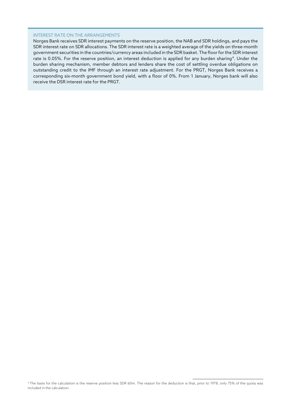#### INTEREST RATE ON THE ARRANGEMENTS

<span id="page-10-0"></span>Norges Bank receives SDR interest payments on the reserve position, the NAB and SDR holdings, and pays the SDR interest rate on SDR allocations. The SDR interest rate is a weighted average of the yields on three-month government securities in the countries/currency areas included in the SDR basket. The floor for the SDR interest rate is 0.05%. For the reserve position, an interest deduction is applied for any burden sharing[4](#page-10-0). Under the burden sharing mechanism, member debtors and lenders share the cost of settling overdue obligations on outstanding credit to the IMF through an interest rate adjustment. For the PRGT, Norges Bank receives a corresponding six-month government bond yield, with a floor of 0%. From 1 January, Norges bank will also receive the DSR interest rate for the PRGT.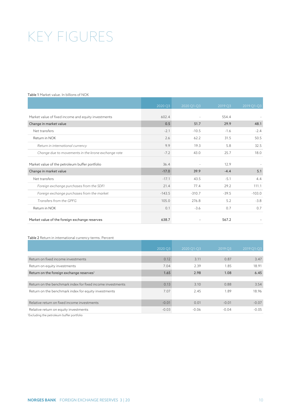# <span id="page-11-0"></span>KEY FIGURES

#### Table 1 Market value. In billions of NOK

|                                                     | 2020 Q3  | 2020 Q1-Q3 | 2019 Q3 | 2019 Q1-Q3 |
|-----------------------------------------------------|----------|------------|---------|------------|
| Market value of fixed income and equity investments | 602.4    |            | 554.4   |            |
| Change in market value                              | 0.5      | 51.7       | 29.9    | 48.1       |
| Net transfers                                       | $-2.1$   | $-10.5$    | $-1.6$  | $-2.4$     |
| Return in NOK                                       | 2.6      | 62.2       | 31.5    | 50.5       |
| Return in international currency                    | 9.9      | 19.3       | 5.8     | 32.5       |
| Change due to movements in the krone exchange rate  | $-7.2$   | 43.0       | 25.7    | 18.0       |
| Market value of the petroleum buffer portfolio      | 36.4     |            | 12.9    |            |
| Change in market value                              | $-17.0$  | 39.9       | $-4.4$  | 5.1        |
| Net transfers                                       | $-17.1$  | 43.5       | $-5.1$  | 4.4        |
| Foreign exchange purchases from the SDFI            | 21.4     | 77.4       | 29.2    | 111.1      |
| Foreign exchange purchases from the market          | $-143.5$ | $-310.7$   | $-39.5$ | $-103.0$   |
| Transfers from the GPFG                             | 105.0    | 276.8      | 5.2     | $-3.8$     |
| Return in NOK                                       | 0.1      | $-3.6$     | 0.7     | 0.7        |
| Market value of the foreign exchange reserves       | 638.7    |            | 567.2   |            |

#### Table 2 Return in international currency terms. Percent

|                                                                                                                 | 2020 Q3 | 2020 Q1-Q3 | 2019 Q3 | $2019$ Q <sub>1</sub> -Q <sub>3</sub> |
|-----------------------------------------------------------------------------------------------------------------|---------|------------|---------|---------------------------------------|
|                                                                                                                 |         |            |         |                                       |
| Return on fixed income investments                                                                              | 0.12    | 3.11       | 0.87    | 3.47                                  |
| Return on equity investments                                                                                    | 7.04    | 2.39       | 1.85    | 18.91                                 |
| Return on the foreign exchange reserves <sup>1</sup>                                                            | 1.65    | 2.98       | 1.08    | 6.45                                  |
|                                                                                                                 |         |            |         |                                       |
| Return on the benchmark index for fixed income investments                                                      | 0.13    | 3.10       | 0.88    | 3.54                                  |
| Return on the benchmark index for equity investments                                                            | 7.07    | 2.45       | 1.89    | 18.96                                 |
| Relative return on fixed income investments                                                                     | $-0.01$ | 0.01       | $-0.01$ | $-0.07$                               |
| Relative return on equity investments                                                                           | $-0.03$ | $-0.06$    | $-0.04$ | $-0.05$                               |
| the contract of the contract of the contract of the contract of the contract of the contract of the contract of |         |            |         |                                       |

1 Excluding the petroleum buffer portfolio